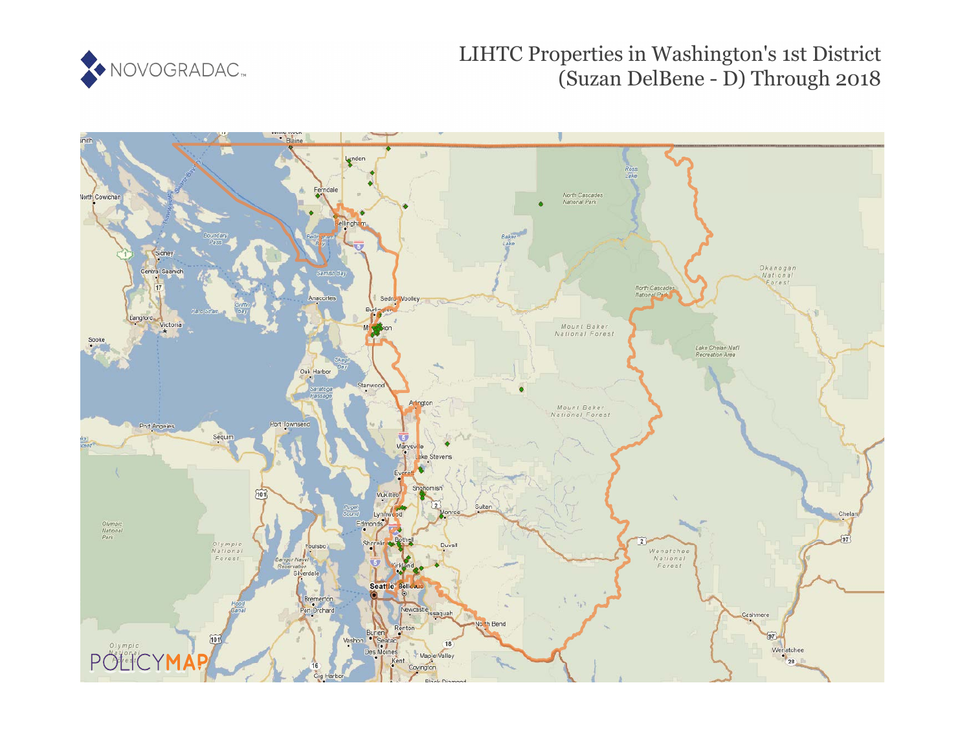

LIHTC Properties in Washington's 1st District (Suzan DelBene - D) Through 2018

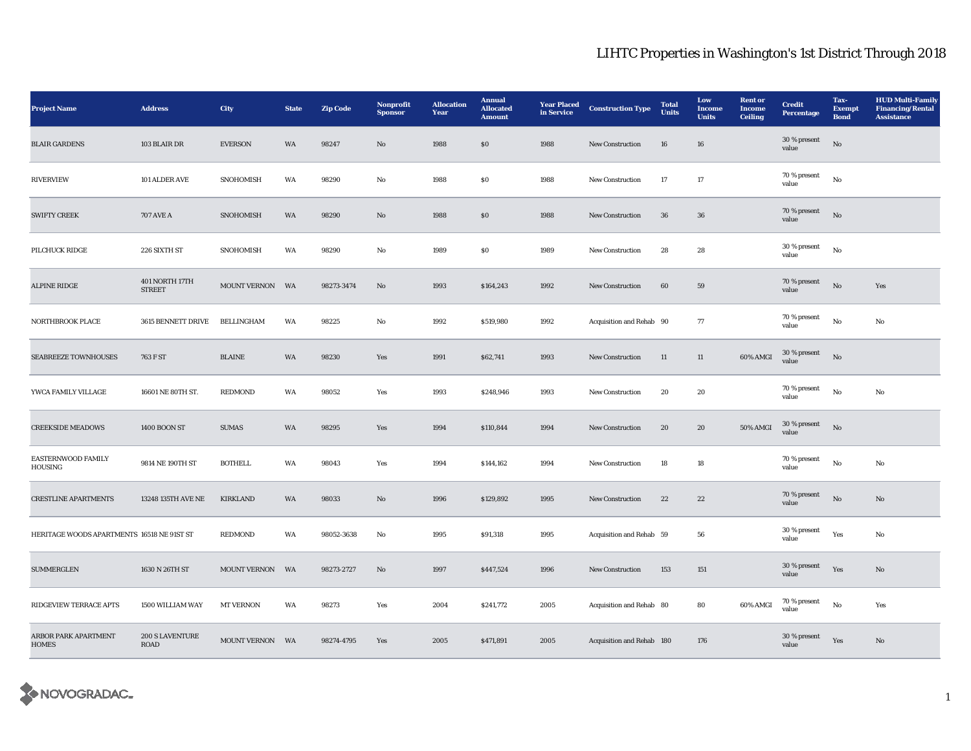| <b>Project Name</b>                         | <b>Address</b>                  | City              | <b>State</b> | <b>Zip Code</b> | Nonprofit<br><b>Sponsor</b> | <b>Allocation</b><br>Year | <b>Annual</b><br><b>Allocated</b><br><b>Amount</b> | <b>Year Placed</b><br>in Service | <b>Construction Type</b>  | <b>Total</b><br><b>Units</b> | Low<br><b>Income</b><br><b>Units</b> | <b>Rent</b> or<br><b>Income</b><br><b>Ceiling</b> | <b>Credit</b><br><b>Percentage</b> | Tax-<br><b>Exempt</b><br><b>Bond</b> | <b>HUD Multi-Family</b><br><b>Financing/Rental</b><br><b>Assistance</b> |
|---------------------------------------------|---------------------------------|-------------------|--------------|-----------------|-----------------------------|---------------------------|----------------------------------------------------|----------------------------------|---------------------------|------------------------------|--------------------------------------|---------------------------------------------------|------------------------------------|--------------------------------------|-------------------------------------------------------------------------|
| <b>BLAIR GARDENS</b>                        | 103 BLAIR DR                    | <b>EVERSON</b>    | WA           | 98247           | No                          | 1988                      | ${\bf S0}$                                         | 1988                             | New Construction          | ${\bf 16}$                   | ${\bf 16}$                           |                                                   | 30 % present<br>value              | $\rm No$                             |                                                                         |
| <b>RIVERVIEW</b>                            | 101 ALDER AVE                   | SNOHOMISH         | WA           | 98290           | No                          | 1988                      | ${\bf S0}$                                         | 1988                             | New Construction          | 17                           | $17\,$                               |                                                   | 70 % present<br>value              | No                                   |                                                                         |
| <b>SWIFTY CREEK</b>                         | <b>707 AVE A</b>                | SNOHOMISH         | WA           | 98290           | $\mathbf{No}$               | 1988                      | ${\bf S0}$                                         | 1988                             | New Construction          | 36                           | ${\bf 36}$                           |                                                   | 70 % present<br>value              | $_{\rm No}$                          |                                                                         |
| PILCHUCK RIDGE                              | 226 SIXTH ST                    | SNOHOMISH         | WA           | 98290           | No                          | 1989                      | S <sub>0</sub>                                     | 1989                             | New Construction          | 28                           | 28                                   |                                                   | 30 % present<br>value              | $_{\rm No}$                          |                                                                         |
| <b>ALPINE RIDGE</b>                         | 401 NORTH 17TH<br><b>STREET</b> | MOUNT VERNON      | WA           | 98273-3474      | $\rm No$                    | 1993                      | \$164,243                                          | 1992                             | New Construction          | $\bf{60}$                    | 59                                   |                                                   | 70 % present<br>value              | No                                   | Yes                                                                     |
| NORTHBROOK PLACE                            | 3615 BENNETT DRIVE              | <b>BELLINGHAM</b> | WA           | 98225           | No                          | 1992                      | \$519,980                                          | 1992                             | Acquisition and Rehab 90  |                              | 77                                   |                                                   | 70 % present<br>value              | No                                   | No                                                                      |
| <b>SEABREEZE TOWNHOUSES</b>                 | 763 F ST                        | <b>BLAINE</b>     | WA           | 98230           | Yes                         | 1991                      | \$62,741                                           | 1993                             | New Construction          | 11                           | 11                                   | 60% AMGI                                          | $30\,\%$ present<br>value          | $_{\rm No}$                          |                                                                         |
| YWCA FAMILY VILLAGE                         | 16601 NE 80TH ST.               | <b>REDMOND</b>    | WA           | 98052           | Yes                         | 1993                      | \$248,946                                          | 1993                             | New Construction          | 20                           | 20                                   |                                                   | 70 % present<br>value              | $\rm No$                             | No                                                                      |
| <b>CREEKSIDE MEADOWS</b>                    | <b>1400 BOON ST</b>             | <b>SUMAS</b>      | WA           | 98295           | Yes                         | 1994                      | \$110,844                                          | 1994                             | New Construction          | ${\bf 20}$                   | ${\bf 20}$                           | 50% AMGI                                          | $30\,\%$ present<br>value          | $_{\rm No}$                          |                                                                         |
| <b>EASTERNWOOD FAMILY</b><br><b>HOUSING</b> | 9814 NE 190TH ST                | <b>BOTHELL</b>    | WA           | 98043           | Yes                         | 1994                      | \$144,162                                          | 1994                             | New Construction          | $18\,$                       | 18                                   |                                                   | 70 % present<br>value              | $_{\rm No}$                          | $\mathbf{No}$                                                           |
| <b>CRESTLINE APARTMENTS</b>                 | 13248 135TH AVE NE              | KIRKLAND          | WA           | 98033           | No                          | 1996                      | \$129,892                                          | 1995                             | New Construction          | 22                           | $22\,$                               |                                                   | 70 % present<br>value              | $\rm No$                             | $\mathbf{N}\mathbf{o}$                                                  |
| HERITAGE WOODS APARTMENTS 16518 NE 91ST ST  |                                 | <b>REDMOND</b>    | WA           | 98052-3638      | $\rm No$                    | 1995                      | \$91,318                                           | 1995                             | Acquisition and Rehab 59  |                              | 56                                   |                                                   | 30 % present<br>value              | Yes                                  | No                                                                      |
| <b>SUMMERGLEN</b>                           | 1630 N 26TH ST                  | MOUNT VERNON      | WA           | 98273-2727      | No                          | 1997                      | \$447,524                                          | 1996                             | New Construction          | 153                          | 151                                  |                                                   | 30 % present<br>value              | Yes                                  | $\rm No$                                                                |
| RIDGEVIEW TERRACE APTS                      | 1500 WILLIAM WAY                | <b>MT VERNON</b>  | WA           | 98273           | Yes                         | 2004                      | \$241,772                                          | 2005                             | Acquisition and Rehab 80  |                              | 80                                   | 60% AMGI                                          | 70 % present<br>value              | $_{\rm No}$                          | Yes                                                                     |
| ARBOR PARK APARTMENT<br><b>HOMES</b>        | 200 S LAVENTURE<br>ROAD         | MOUNT VERNON WA   |              | 98274-4795      | Yes                         | 2005                      | \$471,891                                          | 2005                             | Acquisition and Rehab 180 |                              | 176                                  |                                                   | 30 % present<br>value              | Yes                                  | $\mathbf{No}$                                                           |

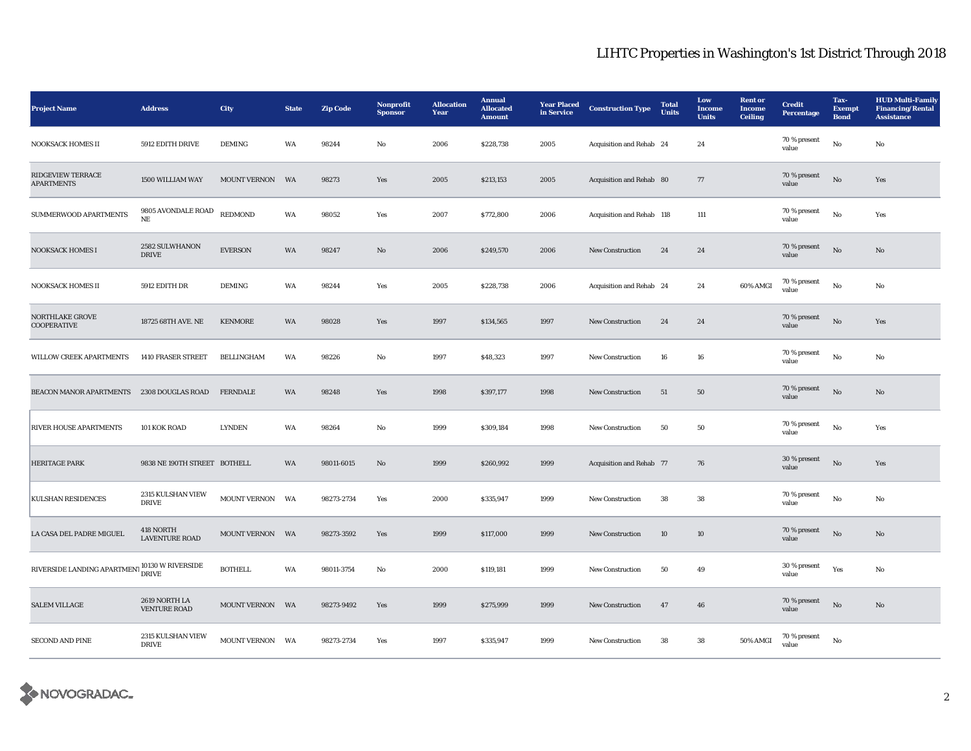| <b>Project Name</b>                                           | <b>Address</b>                       | <b>City</b>         | <b>State</b> | <b>Zip Code</b> | Nonprofit<br><b>Sponsor</b> | <b>Allocation</b><br>Year | <b>Annual</b><br><b>Allocated</b><br><b>Amount</b> | <b>Year Placed</b><br>in Service | <b>Construction Type</b>  | <b>Total</b><br><b>Units</b> | Low<br>Income<br><b>Units</b> | <b>Rent or</b><br><b>Income</b><br><b>Ceiling</b> | <b>Credit</b><br>Percentage | Tax-<br><b>Exempt</b><br><b>Bond</b> | <b>HUD Multi-Family</b><br><b>Financing/Rental</b><br><b>Assistance</b> |
|---------------------------------------------------------------|--------------------------------------|---------------------|--------------|-----------------|-----------------------------|---------------------------|----------------------------------------------------|----------------------------------|---------------------------|------------------------------|-------------------------------|---------------------------------------------------|-----------------------------|--------------------------------------|-------------------------------------------------------------------------|
| NOOKSACK HOMES II                                             | 5912 EDITH DRIVE                     | <b>DEMING</b>       | WA           | 98244           | No                          | 2006                      | \$228,738                                          | 2005                             | Acquisition and Rehab 24  |                              | 24                            |                                                   | 70 % present<br>value       | $\mathbf{N}\mathbf{o}$               | No                                                                      |
| <b>RIDGEVIEW TERRACE</b><br><b>APARTMENTS</b>                 | 1500 WILLIAM WAY                     | MOUNT VERNON        | <b>WA</b>    | 98273           | Yes                         | 2005                      | \$213,153                                          | 2005                             | Acquisition and Rehab 80  |                              | $77\,$                        |                                                   | 70 % present<br>value       | $\rm No$                             | Yes                                                                     |
| SUMMERWOOD APARTMENTS                                         | 9805 AVONDALE ROAD<br>$\rm NE$       | <b>REDMOND</b>      | WA           | 98052           | Yes                         | 2007                      | \$772,800                                          | 2006                             | Acquisition and Rehab 118 |                              | 111                           |                                                   | 70 % present<br>value       | No                                   | Yes                                                                     |
| <b>NOOKSACK HOMES I</b>                                       | 2582 SULWHANON<br>$\rm DRIVE$        | <b>EVERSON</b>      | WA           | 98247           | $\mathbf{N}\mathbf{o}$      | 2006                      | \$249,570                                          | 2006                             | <b>New Construction</b>   | 24                           | $\bf 24$                      |                                                   | 70 % present<br>value       | No                                   | No                                                                      |
| <b>NOOKSACK HOMES II</b>                                      | 5912 EDITH DR                        | <b>DEMING</b>       | WA           | 98244           | Yes                         | 2005                      | \$228,738                                          | 2006                             | Acquisition and Rehab 24  |                              | 24                            | 60% AMGI                                          | 70 % present<br>value       | $\mathbf{N}\mathbf{o}$               | No                                                                      |
| <b>NORTHLAKE GROVE</b><br><b>COOPERATIVE</b>                  | 18725 68TH AVE. NE                   | <b>KENMORE</b>      | WA           | 98028           | Yes                         | 1997                      | \$134,565                                          | 1997                             | <b>New Construction</b>   | 24                           | 24                            |                                                   | 70 % present<br>value       | No                                   | Yes                                                                     |
| <b>WILLOW CREEK APARTMENTS</b>                                | 1410 FRASER STREET                   | BELLINGHAM          | WA           | 98226           | No                          | 1997                      | \$48,323                                           | 1997                             | <b>New Construction</b>   | 16                           | $16\,$                        |                                                   | 70 % present<br>value       | No                                   | No                                                                      |
| <b>BEACON MANOR APARTMENTS</b>                                | 2308 DOUGLAS ROAD                    | <b>FERNDALE</b>     | WA           | 98248           | Yes                         | 1998                      | \$397,177                                          | 1998                             | <b>New Construction</b>   | 51                           | 50                            |                                                   | 70 % present<br>value       | No                                   | No                                                                      |
| <b>RIVER HOUSE APARTMENTS</b>                                 | 101 KOK ROAD                         | <b>LYNDEN</b>       | WA           | 98264           | No                          | 1999                      | \$309,184                                          | 1998                             | New Construction          | 50                           | 50                            |                                                   | 70 % present<br>value       | No                                   | Yes                                                                     |
| <b>HERITAGE PARK</b>                                          | 9838 NE 190TH STREET BOTHELL         |                     | WA           | 98011-6015      | $\mathbf{N}\mathbf{o}$      | 1999                      | \$260,992                                          | 1999                             | Acquisition and Rehab 77  |                              | 76                            |                                                   | 30 % present<br>value       | No                                   | Yes                                                                     |
| <b>KULSHAN RESIDENCES</b>                                     | 2315 KULSHAN VIEW<br><b>DRIVE</b>    | <b>MOUNT VERNON</b> | WA           | 98273-2734      | Yes                         | 2000                      | \$335,947                                          | 1999                             | <b>New Construction</b>   | 38                           | 38                            |                                                   | 70 % present<br>value       | No                                   | No                                                                      |
| LA CASA DEL PADRE MIGUEL                                      | 418 NORTH<br><b>LAVENTURE ROAD</b>   | MOUNT VERNON WA     |              | 98273-3592      | Yes                         | 1999                      | \$117,000                                          | 1999                             | <b>New Construction</b>   | 10                           | 10                            |                                                   | 70 % present<br>value       | No                                   | No                                                                      |
| RIVERSIDE LANDING APARTMENT $\rm_{DRIVE}^{10130}$ W RIVERSIDE |                                      | <b>BOTHELL</b>      | WA           | 98011-3754      | No                          | 2000                      | \$119,181                                          | 1999                             | <b>New Construction</b>   | 50                           | 49                            |                                                   | 30 % present<br>value       | Yes                                  | No                                                                      |
| <b>SALEM VILLAGE</b>                                          | 2619 NORTH LA<br><b>VENTURE ROAD</b> | MOUNT VERNON        | WA           | 98273-9492      | Yes                         | 1999                      | \$275,999                                          | 1999                             | <b>New Construction</b>   | 47                           | ${\bf 46}$                    |                                                   | 70 % present<br>value       | $\rm No$                             | No                                                                      |
| <b>SECOND AND PINE</b>                                        | 2315 KULSHAN VIEW<br><b>DRIVE</b>    | MOUNT VERNON WA     |              | 98273-2734      | Yes                         | 1997                      | \$335,947                                          | 1999                             | New Construction          | 38                           | ${\bf 38}$                    | 50% AMGI                                          | 70 % present<br>value       | $_{\rm No}$                          |                                                                         |

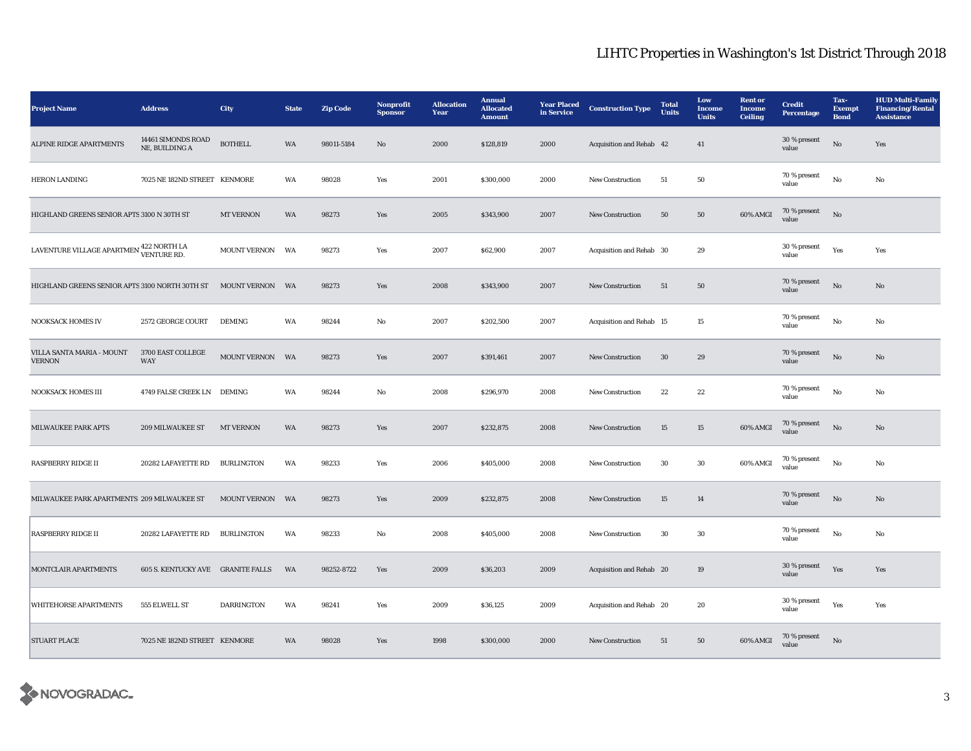| <b>Project Name</b>                                | <b>Address</b>                           | City                | <b>State</b> | <b>Zip Code</b> | Nonprofit<br><b>Sponsor</b> | <b>Allocation</b><br>Year | <b>Annual</b><br><b>Allocated</b><br><b>Amount</b> | <b>Year Placed</b><br>in Service | <b>Construction Type</b> | <b>Total</b><br><b>Units</b> | Low<br>Income<br><b>Units</b> | <b>Rent or</b><br>Income<br><b>Ceiling</b> | <b>Credit</b><br><b>Percentage</b> | Tax-<br><b>Exempt</b><br><b>Bond</b> | <b>HUD Multi-Family</b><br><b>Financing/Rental</b><br><b>Assistance</b> |
|----------------------------------------------------|------------------------------------------|---------------------|--------------|-----------------|-----------------------------|---------------------------|----------------------------------------------------|----------------------------------|--------------------------|------------------------------|-------------------------------|--------------------------------------------|------------------------------------|--------------------------------------|-------------------------------------------------------------------------|
| ALPINE RIDGE APARTMENTS                            | 14461 SIMONDS ROAD<br>NE, BUILDING A     | <b>BOTHELL</b>      | WA           | 98011-5184      | $\rm No$                    | 2000                      | \$128,819                                          | 2000                             | Acquisition and Rehab 42 |                              | 41                            |                                            | 30 % present<br>value              | $\rm No$                             | Yes                                                                     |
| HERON LANDING                                      | 7025 NE 182ND STREET KENMORE             |                     | WA           | 98028           | Yes                         | 2001                      | \$300,000                                          | 2000                             | New Construction         | 51                           | ${\bf 50}$                    |                                            | 70 % present<br>value              | $\rm No$                             | No                                                                      |
| HIGHLAND GREENS SENIOR APTS 3100 N 30TH ST         |                                          | <b>MT VERNON</b>    | WA           | 98273           | Yes                         | 2005                      | \$343,900                                          | 2007                             | New Construction         | ${\bf 50}$                   | ${\bf 50}$                    | 60% AMGI                                   | 70 % present<br>value              | $_{\rm No}$                          |                                                                         |
| LAVENTURE VILLAGE APARTMEN <sup>422</sup> NORTH LA |                                          | <b>MOUNT VERNON</b> | WA           | 98273           | Yes                         | 2007                      | \$62,900                                           | 2007                             | Acquisition and Rehab 30 |                              | 29                            |                                            | 30 % present<br>value              | Yes                                  | Yes                                                                     |
| HIGHLAND GREENS SENIOR APTS 3100 NORTH 30TH ST     |                                          | <b>MOUNT VERNON</b> | WA           | 98273           | Yes                         | 2008                      | \$343,900                                          | 2007                             | New Construction         | 51                           | ${\bf 50}$                    |                                            | 70 % present<br>value              | No                                   | $\mathbf{N}\mathbf{o}$                                                  |
| <b>NOOKSACK HOMES IV</b>                           | 2572 GEORGE COURT                        | <b>DEMING</b>       | WA           | 98244           | No                          | 2007                      | \$202,500                                          | 2007                             | Acquisition and Rehab 15 |                              | 15                            |                                            | 70 % present<br>value              | $\rm No$                             | No                                                                      |
| VILLA SANTA MARIA - MOUNT<br><b>VERNON</b>         | 3700 EAST COLLEGE<br>WAY                 | MOUNT VERNON WA     |              | 98273           | Yes                         | 2007                      | \$391,461                                          | 2007                             | New Construction         | $30\,$                       | ${\bf 29}$                    |                                            | 70 % present<br>value              | $_{\rm No}$                          | $\rm No$                                                                |
| <b>NOOKSACK HOMES III</b>                          | 4749 FALSE CREEK LN DEMING               |                     | WA           | 98244           | No                          | 2008                      | \$296,970                                          | 2008                             | New Construction         | 22                           | $\bf{22}$                     |                                            | $70\,\%$ present<br>value          | $\rm No$                             | No                                                                      |
| MILWAUKEE PARK APTS                                | 209 MILWAUKEE ST                         | <b>MT VERNON</b>    | WA           | 98273           | Yes                         | 2007                      | \$232,875                                          | 2008                             | New Construction         | 15                           | $15\,$                        | 60% AMGI                                   | 70 % present<br>value              | No                                   | $\mathbf{No}$                                                           |
| <b>RASPBERRY RIDGE II</b>                          | 20282 LAFAYETTE RD                       | BURLINGTON          | WA           | 98233           | Yes                         | 2006                      | \$405,000                                          | 2008                             | New Construction         | $30\,$                       | $30\,$                        | 60% AMGI                                   | 70 % present<br>value              | No                                   | No                                                                      |
| MILWAUKEE PARK APARTMENTS 209 MILWAUKEE ST         |                                          | <b>MOUNT VERNON</b> | <b>WA</b>    | 98273           | Yes                         | 2009                      | \$232,875                                          | 2008                             | New Construction         | 15                           | 14                            |                                            | 70 % present<br>value              | $\rm No$                             | $\mathbf{N}\mathbf{o}$                                                  |
| <b>RASPBERRY RIDGE II</b>                          | 20282 LAFAYETTE RD                       | <b>BURLINGTON</b>   | WA           | 98233           | No                          | 2008                      | \$405,000                                          | 2008                             | New Construction         | $30\,$                       | $30\,$                        |                                            | 70 % present<br>value              | $_{\rm No}$                          | $_{\rm No}$                                                             |
| MONTCLAIR APARTMENTS                               | <b>605 S. KENTUCKY AVE GRANITE FALLS</b> |                     | <b>WA</b>    | 98252-8722      | Yes                         | 2009                      | \$36,203                                           | 2009                             | Acquisition and Rehab 20 |                              | 19                            |                                            | 30 % present<br>value              | Yes                                  | Yes                                                                     |
| WHITEHORSE APARTMENTS                              | 555 ELWELL ST                            | <b>DARRINGTON</b>   | WA           | 98241           | Yes                         | 2009                      | \$36,125                                           | 2009                             | Acquisition and Rehab 20 |                              | 20                            |                                            | 30 % present<br>value              | Yes                                  | Yes                                                                     |
| <b>STUART PLACE</b>                                | 7025 NE 182ND STREET KENMORE             |                     | WA           | 98028           | Yes                         | 1998                      | \$300,000                                          | 2000                             | <b>New Construction</b>  | 51                           | ${\bf 50}$                    | 60% AMGI                                   | 70 % present<br>value              | No                                   |                                                                         |

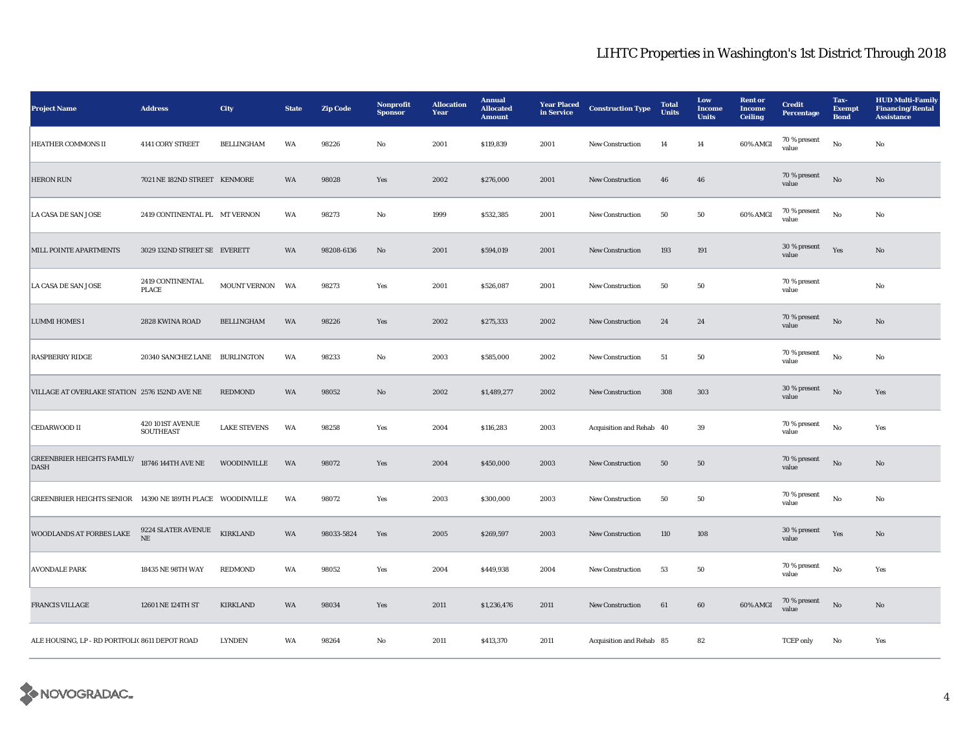| <b>Project Name</b>                                        | <b>Address</b>                       | City                | <b>State</b> | <b>Zip Code</b> | Nonprofit<br><b>Sponsor</b> | <b>Allocation</b><br>Year | <b>Annual</b><br><b>Allocated</b><br><b>Amount</b> | <b>Year Placed</b><br>in Service | <b>Construction Type</b> | <b>Total</b><br>Units | Low<br><b>Income</b><br><b>Units</b> | <b>Rent or</b><br><b>Income</b><br><b>Ceiling</b> | <b>Credit</b><br><b>Percentage</b> | Tax-<br>Exempt<br><b>Bond</b> | <b>HUD Multi-Family</b><br><b>Financing/Rental</b><br><b>Assistance</b> |
|------------------------------------------------------------|--------------------------------------|---------------------|--------------|-----------------|-----------------------------|---------------------------|----------------------------------------------------|----------------------------------|--------------------------|-----------------------|--------------------------------------|---------------------------------------------------|------------------------------------|-------------------------------|-------------------------------------------------------------------------|
| <b>HEATHER COMMONS II</b>                                  | 4141 CORY STREET                     | <b>BELLINGHAM</b>   | WA           | 98226           | No                          | 2001                      | \$119,839                                          | 2001                             | <b>New Construction</b>  | 14                    | 14                                   | 60% AMGI                                          | 70 % present<br>value              | No                            | No                                                                      |
| <b>HERON RUN</b>                                           | 7021 NE 182ND STREET KENMORE         |                     | <b>WA</b>    | 98028           | Yes                         | 2002                      | \$276,000                                          | 2001                             | <b>New Construction</b>  | 46                    | 46                                   |                                                   | 70 % present<br>value              | $\mathbf{N}\mathbf{o}$        | No                                                                      |
| <b>LA CASA DE SAN JOSE</b>                                 | 2419 CONTINENTAL PL MT VERNON        |                     | WA           | 98273           | No                          | 1999                      | \$532,385                                          | 2001                             | <b>New Construction</b>  | 50                    | 50                                   | 60% AMGI                                          | 70 % present<br>value              | No                            | No                                                                      |
| MILL POINTE APARTMENTS                                     | 3029 132ND STREET SE EVERETT         |                     | WA           | 98208-6136      | $\rm No$                    | 2001                      | \$594,019                                          | 2001                             | <b>New Construction</b>  | 193                   | 191                                  |                                                   | 30 % present<br>value              | Yes                           | No                                                                      |
| <b>LA CASA DE SAN JOSE</b>                                 | 2419 CONTINENTAL<br>PLACE            | <b>MOUNT VERNON</b> | WA           | 98273           | Yes                         | 2001                      | \$526,087                                          | 2001                             | New Construction         | 50                    | 50                                   |                                                   | 70 % present<br>value              |                               | No                                                                      |
| <b>LUMMI HOMES I</b>                                       | 2828 KWINA ROAD                      | BELLINGHAM          | WA           | 98226           | Yes                         | 2002                      | \$275,333                                          | 2002                             | <b>New Construction</b>  | 24                    | 24                                   |                                                   | 70 % present<br>value              | $_{\rm No}$                   | $\mathbf{N}\mathbf{o}$                                                  |
| <b>RASPBERRY RIDGE</b>                                     | 20340 SANCHEZ LANE BURLINGTON        |                     | WA           | 98233           | $\rm No$                    | 2003                      | \$585,000                                          | 2002                             | <b>New Construction</b>  | 51                    | 50                                   |                                                   | 70 % present<br>value              | $_{\rm No}$                   | No                                                                      |
| VILLAGE AT OVERLAKE STATION 2576 152ND AVE NE              |                                      | <b>REDMOND</b>      | WA           | 98052           | $\mathbf{N}\mathbf{o}$      | 2002                      | \$1,489,277                                        | 2002                             | New Construction         | 308                   | 303                                  |                                                   | 30 % present<br>value              | $\rm No$                      | Yes                                                                     |
| <b>CEDARWOOD II</b>                                        | 420 101ST AVENUE<br><b>SOUTHEAST</b> | <b>LAKE STEVENS</b> | WA           | 98258           | Yes                         | 2004                      | \$116,283                                          | 2003                             | Acquisition and Rehab 40 |                       | 39                                   |                                                   | 70 % present<br>value              | No                            | Yes                                                                     |
| <b>GREENBRIER HEIGHTS FAMILY/</b><br><b>DASH</b>           | 18746 144TH AVE NE                   | <b>WOODINVILLE</b>  | WA           | 98072           | Yes                         | 2004                      | \$450,000                                          | 2003                             | <b>New Construction</b>  | 50                    | 50                                   |                                                   | 70 % present<br>value              | No                            | No                                                                      |
| GREENBRIER HEIGHTS SENIOR 14390 NE 189TH PLACE WOODINVILLE |                                      |                     | WA           | 98072           | Yes                         | 2003                      | \$300,000                                          | 2003                             | <b>New Construction</b>  | 50                    | 50                                   |                                                   | 70 % present<br>value              | $_{\rm No}$                   | No                                                                      |
| WOODLANDS AT FORBES LAKE                                   | 9224 SLATER AVENUE<br>$\rm{NE}$      | <b>KIRKLAND</b>     | WA           | 98033-5824      | Yes                         | 2005                      | \$269,597                                          | 2003                             | New Construction         | $110\,$               | 108                                  |                                                   | $30\,\%$ present<br>value          | Yes                           | $\mathbf{N}\mathbf{o}$                                                  |
| <b>AVONDALE PARK</b>                                       | 18435 NE 98TH WAY                    | REDMOND             | WA           | 98052           | Yes                         | 2004                      | \$449,938                                          | 2004                             | <b>New Construction</b>  | 53                    | 50                                   |                                                   | 70 % present<br>value              | $_{\rm No}$                   | Yes                                                                     |
| <b>FRANCIS VILLAGE</b>                                     | 12601 NE 124TH ST                    | <b>KIRKLAND</b>     | WA           | 98034           | Yes                         | 2011                      | \$1,236,476                                        | 2011                             | <b>New Construction</b>  | 61                    | 60                                   | 60% AMGI                                          | 70 % present<br>value              | $\mathbf{N}\mathbf{o}$        | $\mathbf{N}\mathbf{o}$                                                  |
| ALE HOUSING, LP - RD PORTFOLI(8611 DEPOT ROAD              |                                      | <b>LYNDEN</b>       | WA           | 98264           | No                          | 2011                      | \$413,370                                          | 2011                             | Acquisition and Rehab 85 |                       | 82                                   |                                                   | <b>TCEP</b> only                   | No                            | Yes                                                                     |

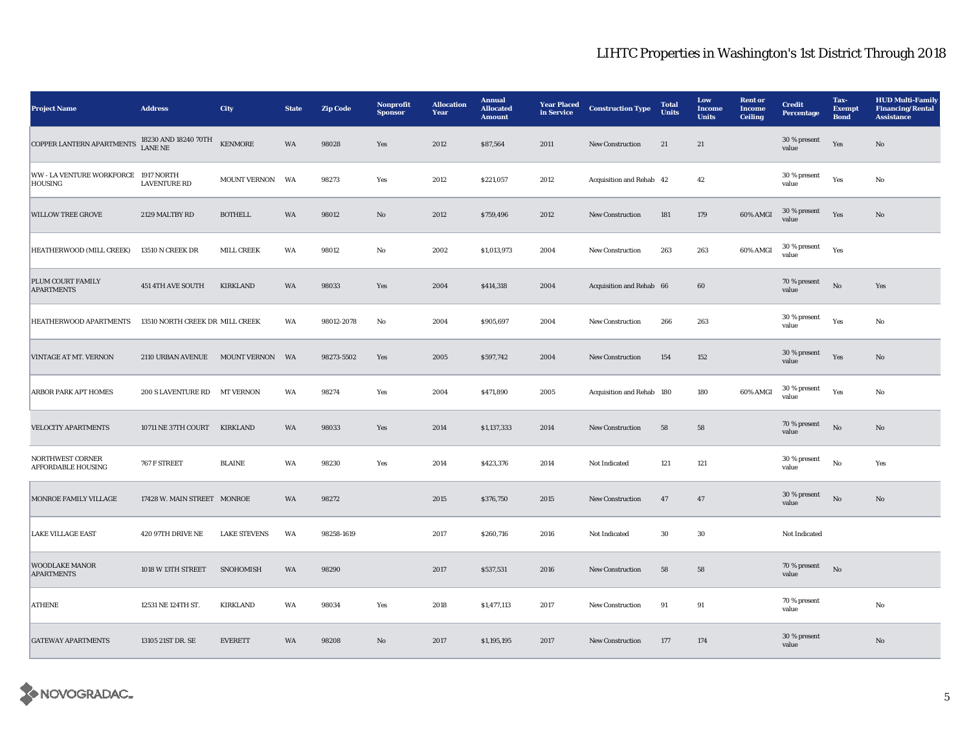| <b>Project Name</b>                                                   | <b>Address</b>                  | City                              | <b>State</b> | <b>Zip Code</b> | Nonprofit<br><b>Sponsor</b> | <b>Allocation</b><br>Year | <b>Annual</b><br><b>Allocated</b><br><b>Amount</b> | <b>Year Placed</b><br>in Service | <b>Construction Type</b>  | <b>Total</b><br>Units | Low<br><b>Income</b><br><b>Units</b> | <b>Rent</b> or<br><b>Income</b><br>Ceiling | <b>Credit</b><br><b>Percentage</b> | Tax-<br><b>Exempt</b><br><b>Bond</b> | <b>HUD Multi-Family</b><br><b>Financing/Rental</b><br><b>Assistance</b> |
|-----------------------------------------------------------------------|---------------------------------|-----------------------------------|--------------|-----------------|-----------------------------|---------------------------|----------------------------------------------------|----------------------------------|---------------------------|-----------------------|--------------------------------------|--------------------------------------------|------------------------------------|--------------------------------------|-------------------------------------------------------------------------|
| COPPER LANTERN APARTMENTS $^{18230}_{\rm{LANE \, NE}}$ AND 18240 70TH |                                 | $\operatorname{\mathsf{KENMORE}}$ | WA           | 98028           | Yes                         | 2012                      | \$87,564                                           | 2011                             | New Construction          | 21                    | 21                                   |                                            | 30 % present<br>value              | Yes                                  | No                                                                      |
| WW - LA VENTURE WORKFORCE 1917 NORTH<br><b>HOUSING</b>                | <b>LAVENTURE RD</b>             | <b>MOUNT VERNON</b>               | WA           | 98273           | Yes                         | 2012                      | \$221,057                                          | 2012                             | Acquisition and Rehab 42  |                       | 42                                   |                                            | 30 % present<br>value              | Yes                                  | No                                                                      |
| <b>WILLOW TREE GROVE</b>                                              | 2129 MALTBY RD                  | <b>BOTHELL</b>                    | <b>WA</b>    | 98012           | No                          | 2012                      | \$759,496                                          | 2012                             | <b>New Construction</b>   | 181                   | 179                                  | 60% AMGI                                   | 30 % present<br>value              | Yes                                  | No                                                                      |
| HEATHERWOOD (MILL CREEK)                                              | 13510 N CREEK DR                | <b>MILL CREEK</b>                 | WA           | 98012           | No                          | 2002                      | \$1,013,973                                        | 2004                             | New Construction          | 263                   | 263                                  | 60% AMGI                                   | $30$ % present<br>value            | Yes                                  |                                                                         |
| PLUM COURT FAMILY<br><b>APARTMENTS</b>                                | 451 4TH AVE SOUTH               | <b>KIRKLAND</b>                   | <b>WA</b>    | 98033           | Yes                         | 2004                      | \$414,318                                          | 2004                             | Acquisition and Rehab 66  |                       | 60                                   |                                            | $70\,\%$ present<br>value          | $_{\rm No}$                          | Yes                                                                     |
| HEATHERWOOD APARTMENTS                                                | 13510 NORTH CREEK DR MILL CREEK |                                   | WA           | 98012-2078      | No                          | 2004                      | \$905,697                                          | 2004                             | New Construction          | 266                   | 263                                  |                                            | 30 % present<br>value              | Yes                                  | No                                                                      |
| <b>VINTAGE AT MT. VERNON</b>                                          | 2110 URBAN AVENUE MOUNT VERNON  |                                   | WA           | 98273-5502      | Yes                         | 2005                      | \$597,742                                          | 2004                             | <b>New Construction</b>   | 154                   | 152                                  |                                            | 30 % present<br>value              | Yes                                  | No                                                                      |
| <b>ARBOR PARK APT HOMES</b>                                           | 200 S LAVENTURE RD MT VERNON    |                                   | WA           | 98274           | Yes                         | 2004                      | \$471,890                                          | 2005                             | Acquisition and Rehab 180 |                       | 180                                  | 60% AMGI                                   | 30 % present<br>value              | Yes                                  | No                                                                      |
| <b>VELOCITY APARTMENTS</b>                                            | 10711 NE 37TH COURT             | <b>KIRKLAND</b>                   | WA           | 98033           | Yes                         | 2014                      | \$1,137,333                                        | 2014                             | <b>New Construction</b>   | 58                    | 58                                   |                                            | 70 % present<br>value              | No                                   | $\mathbf {No}$                                                          |
| NORTHWEST CORNER<br>AFFORDABLE HOUSING                                | 767 F STREET                    | <b>BLAINE</b>                     | WA           | 98230           | Yes                         | 2014                      | \$423,376                                          | 2014                             | Not Indicated             | 121                   | 121                                  |                                            | 30 % present<br>value              | No                                   | Yes                                                                     |
| MONROE FAMILY VILLAGE                                                 | 17428 W. MAIN STREET MONROE     |                                   | WA           | 98272           |                             | 2015                      | \$376,750                                          | 2015                             | <b>New Construction</b>   | 47                    | 47                                   |                                            | 30 % present<br>value              | No                                   | No                                                                      |
| <b>LAKE VILLAGE EAST</b>                                              | 420 97TH DRIVE NE               | <b>LAKE STEVENS</b>               | WA           | 98258-1619      |                             | 2017                      | \$260,716                                          | 2016                             | Not Indicated             | 30                    | 30                                   |                                            | Not Indicated                      |                                      |                                                                         |
| <b>WOODLAKE MANOR</b><br><b>APARTMENTS</b>                            | 1018 W 13TH STREET              | SNOHOMISH                         | WA           | 98290           |                             | 2017                      | \$537,531                                          | 2016                             | New Construction          | 58                    | 58                                   |                                            | 70 % present<br>value              | $_{\rm No}$                          |                                                                         |
| ATHENE                                                                | 12531 NE 124TH ST.              | <b>KIRKLAND</b>                   | WA           | 98034           | Yes                         | 2018                      | \$1,477,113                                        | 2017                             | <b>New Construction</b>   | 91                    | 91                                   |                                            | 70 % present<br>value              |                                      | No                                                                      |
| <b>GATEWAY APARTMENTS</b>                                             | 13105 21ST DR. SE               | <b>EVERETT</b>                    | WA           | 98208           | No                          | 2017                      | \$1,195,195                                        | 2017                             | New Construction          | 177                   | 174                                  |                                            | 30 % present<br>value              |                                      | No                                                                      |